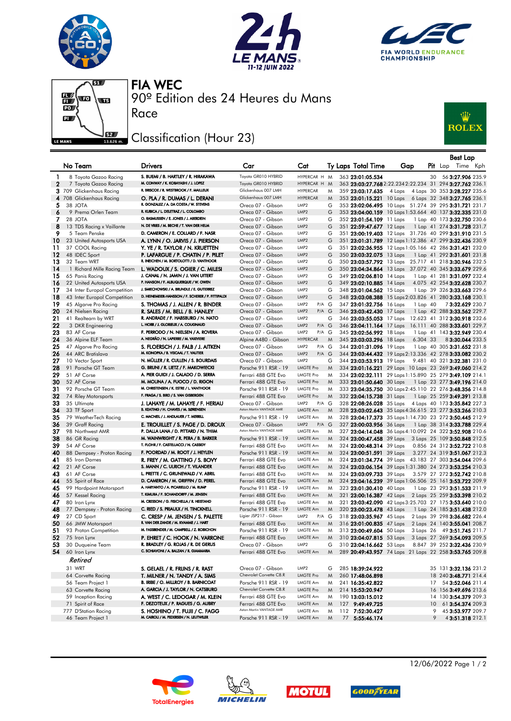







90º Edition des 24 Heures du Mans FIA WEC

## Classification (Hour 23)

Race



|                   |                                                          |                                                                             |                                             |                                      |        |                                                      |                                                          |         | <b>Best Lap</b>                                            |  |
|-------------------|----------------------------------------------------------|-----------------------------------------------------------------------------|---------------------------------------------|--------------------------------------|--------|------------------------------------------------------|----------------------------------------------------------|---------|------------------------------------------------------------|--|
|                   | No Team                                                  | <b>Drivers</b>                                                              | Car                                         | Cat                                  |        | <b>Ty Laps Total Time</b>                            | Gap                                                      |         | Pit Lap Time Kph                                           |  |
|                   |                                                          | S. BUEMI / B. HARTLEY / R. HIRAKAWA                                         | Toyota GR010 HYBRID                         | HYPERCAR H M                         |        |                                                      |                                                          |         |                                                            |  |
| 1<br>$\mathbf{2}$ | 8 Toyota Gazoo Racing<br>7 Toyota Gazoo Racing           | M. CONWAY / K. KOBAYASHI / J. LOPEZ                                         | Toyota GR010 HYBRID                         | HYPERCAR H M                         |        | 363 23:01:05.534                                     | 363 23:03:27.768 2:22.234 2:22.234 31 294 3:27.762 236.1 | 30      | 56 3:27.906 235.9                                          |  |
|                   | 3 709 Glickenhaus Racing                                 | R. BRISCOE / R. WESTBROOK / F. MAILLEUX                                     | Glickenhaus 007 LMH                         | <b>HYPERCAR</b>                      | M      | 359 23:03:17.635                                     | 4 Laps                                                   |         | 4 Laps 30 353 <b>3:28.227</b> 235.6                        |  |
|                   | 4 708 Glickenhaus Racing                                 | O. PLA / R. DUMAS / L. DERANI                                               | Glickenhaus 007 LMH                         | <b>HYPERCAR</b>                      | M      |                                                      | 353 23:01:15.221 10 Laps 6 Laps 32 348 3:27.765 236.1    |         |                                                            |  |
| 5                 | 38 JOTA                                                  | R. GONZALEZ / A. DA COSTA / W. STEVENS                                      | Oreca 07 - Gibson                           | LMP <sub>2</sub>                     | G      |                                                      | 353 23:02:06.495 10 Laps 51.274 39 295 3:31.721 231.7    |         |                                                            |  |
| 6                 | 9 Prema Orlen Team                                       | R. KUBICA / L. DELETRAZ / L. COLOMBO                                        | Oreca 07 - Gibson                           | LMP <sub>2</sub>                     | G      |                                                      | 353 23:04:00.159 10 Laps 1:53.664 40 137 3:32.335 231.0  |         |                                                            |  |
| 7                 | 28 JOTA                                                  | O. RASMUSSEN / E. JONES / J. ABERDEIN                                       | Oreca 07 - Gibson                           | LMP <sub>2</sub>                     | G      | 352 23:01:54.109 11 Laps                             |                                                          |         | 1 Lap 40 173 3:32.750 230.6                                |  |
| 8                 | 13 TDS Racing x Vaillante                                | N. DE VRIES / M. BECHE / T. VAN DER HELM                                    | Oreca 07 - Gibson                           | LMP <sub>2</sub>                     | G      | 351 22:59:47.677 12 Laps                             |                                                          |         | 1 Lap 41 274 3:31.728 231.7                                |  |
| 9                 | 5 Team Penske                                            | D. CAMERON / E. COLLARD / F. NASR                                           | Oreca 07 - Gibson                           | LMP <sub>2</sub>                     | G      |                                                      | 351 23:00:19.403 12 Laps 31.726 40 299 3:31.910 231.5    |         |                                                            |  |
| 10                | 23 United Autosports USA                                 | A. LYNN / O. JARVIS / J. PIERSON                                            | Oreca 07 - Gibson                           | LMP <sub>2</sub>                     | G      |                                                      | 351 23:01:31.789 12 Laps 1:12.386 47 299 3:32.436 230.9  |         |                                                            |  |
| 11                | 37 COOL Racing                                           | Y. YE / R. TAYLOR / N. KRUETTEN                                             | Oreca 07 - Gibson                           | LMP <sub>2</sub>                     | G      |                                                      | 351 23:02:36.955 12 Laps 1:05.166 42 286 3:31.421 232.0  |         |                                                            |  |
| 12                | 48 IDEC Sport                                            | P. LAFARGUE / P. CHATIN / P. PILET                                          | Oreca 07 - Gibson                           | LMP <sub>2</sub>                     | G      | 350 23:03:32.075 13 Laps                             |                                                          |         | 1 Lap 41 292 <b>3:31.601</b> 231.8                         |  |
| 13                | 32 Team WRT                                              | R. INEICHEN / M. BORTOLOTTI / D. VANTHOOR                                   | Oreca 07 - Gibson                           | LMP <sub>2</sub>                     | G      |                                                      | 350 23:03:57.792 13 Laps 25.717 41 218 3:30.946 232.5    |         |                                                            |  |
| 14                | 1 Richard Mille Racing Team                              | L. WADOUX / S. OGIER / C. MILESI                                            | Oreca 07 - Gibson                           | LMP <sub>2</sub>                     | G      |                                                      | 350 23:04:34.864 13 Laps 37.072 40 345 3:33.679 229.6    |         |                                                            |  |
| 15<br>16          | 65 Panis Racing                                          | J. CANAL / N. JAMIN / J. VAN UITERT<br>P. HANSON / F. ALBUQUERQUE / W. OWEN | Oreca 07 - Gibson<br>Oreca 07 - Gibson      | LMP <sub>2</sub><br>LMP <sub>2</sub> | G<br>G | 349 23:02:06.810 14 Laps<br>349 23:02:10.885 14 Laps |                                                          |         | 1 Lap 41 281 3:31.097 232.4<br>4.075 42 254 3:32.628 230.7 |  |
| 17                | 22 United Autosports USA<br>34 Inter Europol Competition | J. SMIECHOWSKI / A. BRUNDLE / E. GUTIERREZ                                  | Oreca 07 - Gibson                           | LMP <sub>2</sub>                     | G      | 348 23:01:04.562 15 Laps                             |                                                          |         | 1 Lap 39 326 3:33.663 229.6                                |  |
| 18                | 43 Inter Europol Competition                             | D. HEINEMEIER-HANSSON / F. SCHERER / P. FITTIPALDI                          | Oreca 07 - Gibson                           | LMP <sub>2</sub>                     | G      |                                                      | 348 23:03:08.388 15 Laps 2:03.826 41 280 3:33.168 230.1  |         |                                                            |  |
| 19                | 45 Algarve Pro Racing                                    | S. THOMAS / J. ALLEN / R. BINDER                                            | Oreca 07 - Gibson                           | P/A G<br>LMP <sub>2</sub>            |        | 347 23:01:32.756 16 Laps                             | 1 Lap 40                                                 |         | 73:32.629 230.7                                            |  |
| 20                | 24 Nielsen Racing                                        | R. SALES / M. BELL / B. HANLEY                                              | Oreca 07 - Gibson                           | LMP <sub>2</sub><br>$P/A$ $G$        |        | 346 23:03:42.430 17 Laps                             |                                                          |         | 1 Lap 42 288 3:33.562 229.7                                |  |
| 21                | 41 Realteam by WRT                                       | R. ANDRADE / F. HABSBURG / N. NATO                                          | Oreca 07 - Gibson                           | LMP <sub>2</sub>                     | G      | 346 23:03:55.053 17 Laps                             |                                                          |         | 12.623 41 312 3:30.918 232.6                               |  |
| 22                | 3 DKR Engineering                                        | L. HORR / J. GLORIEUX / A. COUGNAUD                                         | Oreca 07 - Gibson                           | LMP <sub>2</sub><br>$P/A$ $G$        |        | 346 23:04:11.164 17 Laps                             |                                                          |         | 16.111 40 288 3:33.601 229.7                               |  |
| 23                | 83 AF Corse                                              | F. PERRODO / N. NIELSEN / A. ROVERA                                         | Oreca 07 - Gibson                           | LMP <sub>2</sub><br>P/A G            |        | 345 23:02:56.992 18 Laps                             |                                                          |         | 1 Lap 41 143 3:32.949 230.4                                |  |
| 24                | 36 Alpine ELF Team                                       | A. NEGRÃO / N. LAPIERRE / M. VAXIVIERE                                      | Alpine A480 - Gibson                        | <b>HYPERCAR</b>                      | M      | 345 23:03:03.296 18 Laps                             | 6.304 33                                                 |         | 83:30.044 233.5                                            |  |
| 25                | 47 Algarve Pro Racing                                    | S. FLOERSCH / J. FALB / J. AITKEN                                           | Oreca 07 - Gibson                           | LMP <sub>2</sub><br>P/A G            |        | 344 23:01:31.096 19 Laps                             |                                                          |         | 1 Lap 40 305 3:31.652 231.8                                |  |
| 26                | 44 ARC Bratislava                                        | M. KONOPKA / B. VISCAAL / T. VAUTIER                                        | Oreca 07 - Gibson                           | LMP <sub>2</sub><br>$P/A$ $G$        |        |                                                      | 344 23:03:44.432 19 Laps 2:13.336 42 278 3:33.082 230.2  |         |                                                            |  |
| 27                | 10 Vector Sport                                          | N. MÜLLER / R. CULLEN / S. BOURDAIS                                         | Oreca 07 - Gibson                           | LMP <sub>2</sub>                     | G      | 344 23:03:53.913 19 Laps                             |                                                          |         | 9.481 40 321 3:32.381 231.0                                |  |
| 28                | 91 Porsche GT Team                                       | G. BRUNI / R. LIETZ / F. MAKOWIECKI                                         | Porsche 911 RSR - 19                        | <b>LMGTE Pro</b><br><b>LMGTE Pro</b> | M      |                                                      | 334 23:01:16.221 29 Laps 10 Laps 23 269 3:49.060 214.2   |         |                                                            |  |
| 29<br>30          | 51 AF Corse<br>52 AF Corse                               | A. PIER GUIDI / J. CALADO / D. SERRA<br>M. MOLINA / A. FUOCO / D. RIGON     | Ferrari 488 GTE Evo                         | <b>LMGTE Pro</b>                     | M<br>M |                                                      | 334 23:02:32.111 29 Laps 1:15.890 25 279 3:49.109 214.1  |         |                                                            |  |
| 31                | 92 Porsche GT Team                                       | M. CHRISTENSEN / K. ESTRE / L. VANTHOOR                                     | Ferrari 488 GTE Evo<br>Porsche 911 RSR - 19 | <b>LMGTE Pro</b>                     | M      | 333 23:01:50.640 30 Laps                             | 333 23:04:35.750 30 Laps 2:45.110 22 276 3:48.356 214.8  |         | 1 Lap 23 277 <b>3:49.196</b> 214.0                         |  |
| 32                | 74 Riley Motorsports                                     | F. FRAGA / S. BIRD / S. VAN GISBERGEN                                       | Ferrari 488 GTE Evo                         | <b>LMGTE Pro</b>                     | M      | 332 23:04:15.738 31 Laps                             |                                                          |         | 1 Lap 25 259 <b>3:49.391</b> 213.8                         |  |
| 33                | 35 Ultimate                                              | J. LAHAYE / M. LAHAYE / F. HERIAU                                           | Oreca 07 - Gibson                           | LMP <sub>2</sub><br>$P/A$ $G$        |        |                                                      | 328 22:08:26.028 35 Laps 4 Laps 40 173 3:35.842 227.3    |         |                                                            |  |
| 34                | 33 TF Sport                                              | B. KEATING / H. CHAVES / M. SØRENSEN                                        | Aston Martin VANTAGE AMR                    | <b>LMGTE Am</b>                      | M      |                                                      | 328 23:03:02.643 35 Laps 4:36.615 23 277 3:53.266 210.3  |         |                                                            |  |
| 35                | 79 WeatherTech Racing                                    | C. MACNEIL / J. ANDLAUER / T. MERRILL                                       | Porsche 911 RSR - 19                        | <b>LMGTE Am</b>                      | M      |                                                      | 328 23:04:17.373 35 Laps 1:14.730 23 272 3:50.445 212.9  |         |                                                            |  |
| 36                | 39 Graff Racing                                          | E. TROUILLET / S. PAGE / D. DROUX                                           | Oreca 07 - Gibson                           | LMP <sub>2</sub><br>$P/A$ $G$        |        |                                                      | 327 23:00:03.956 36 Laps 1 Lap 38 314 3:33.788 229.4     |         |                                                            |  |
| 37                | 98 Northwest AMR                                         | P. DALLA LANA / D. PITTARD / N. THIIM                                       | Aston Martin VANTAGE AMR                    | LMGTE Am                             | M      |                                                      | 327 23:04:14.048 36 Laps 4:10.092 24 322 3:52.908 210.6  |         |                                                            |  |
| 38                | 86 GR Racing                                             | M. WAINWRIGHT / R. PERA / B. BARKER                                         | Porsche 911 RSR - 19                        | <b>LMGTE Am</b>                      | M      | 324 23:00:47.458 39 Laps                             |                                                          |         | 3 Laps 25 109 3:50.848 212.5                               |  |
| 39                | 54 AF Corse                                              | T. FLOHR / F. CASTELLACCI / N. CASSIDY                                      | Ferrari 488 GTE Evo                         | LMGTE Am                             | M      | 324 23:00:48.314 39 Laps                             |                                                          |         | 0.856 24 312 3:52.722 210.8                                |  |
| 40                | 88 Dempsey - Proton Racing                               | F. POORDAD / M. ROOT / J. HEYLEN                                            | Porsche 911 RSR - 19                        | LMGTE Am                             | M      | 324 23:00:51.591 39 Laps                             |                                                          |         | 3.277 24 319 3:51.067 212.3                                |  |
| 41                | 85 Iron Dames                                            | R. FREY / M. GATTING / S. BOVY                                              | Ferrari 488 GTE Evo                         | LMGTE Am                             | M      |                                                      | 324 23:01:34.774 39 Laps 43.183 27 303 3:54.044 209.6    |         |                                                            |  |
| 42                | 21 AF Corse                                              | S. MANN / C. ULRICH / T. VILANDER<br>L. PRETTE / C. GRUNEWALD / V. ABRIL    | Ferrari 488 GTE Evo                         | <b>LMGTE Am</b><br>LMGTE Am          | M      |                                                      | 324 23:03:06.154 39 Laps 1:31.380 24 273 3:53.254 210.3  |         |                                                            |  |
| 43<br>44          | 61 AF Corse<br>55 Spirit of Race                         | D. CAMERON / M. GRIFFIN / D. PEREL                                          | Ferrari 488 GTE Evo<br>Ferrari 488 GTE Evo  | LMGTE Am                             | M<br>M | 324 23:03:09.733 39 Laps                             | 324 23:04:16.239 39 Laps 1:06.506 25 161 3:53.722 209.9  |         | 3.579 27 272 3:52.742 210.8                                |  |
| 45                | 99 Hardpoint Motorsport                                  | A. HARYANTO / A. PICARIELLO / M. RUMP                                       | Porsche 911 RSR - 19                        | LMGTE Am                             | M      | 323 23:01:30.410 40 Laps                             |                                                          |         | 1 Lap 23 293 3:51.533 211.9                                |  |
| 46                | 57 Kessel Racing                                         | T. KIMURA / F. SCHANDORFF / M. JENSEN                                       | Ferrari 488 GTE Evo                         | <b>LMGTE Am</b>                      | M      | 321 23:00:16.387 42 Laps                             |                                                          |         | 2 Laps 25 259 3:53.398 210.2                               |  |
| 47                | 80 Iron Lynx                                             | M. CRESSONI / G. FISICHELLA / R. HEISTAND                                   | Ferrari 488 GTE Evo                         | LMGTE Am                             | M      |                                                      | 321 23:03:42.090 42 Laps 3:25.703 27 175 3:53.640 210.0  |         |                                                            |  |
| 48                | 77 Dempsey - Proton Racing                               | C. RIED / S. PRIAULX / H. TINCKNELL                                         | Porsche 911 RSR - 19                        | LMGTE Am                             | M      | 320 23:00:23.478 43 Laps                             |                                                          |         | 1 Lap 24 185 3:51.438 212.0                                |  |
| 49                | 27 CD Sport                                              | C. CRESP / M. JENSEN / S. PALETTE                                           | Ligier JSP217 - Gibson                      | LMP <sub>2</sub><br>P/A G            |        | 318 23:03:35.967 45 Laps                             |                                                          |         | 2 Laps 39 298 3:36.682 226.4                               |  |
| 50                | 66 JMW Motorsport                                        | R. VAN DER ZANDE / M. KVAMME / J. HART                                      | Ferrari 488 GTE Evo                         | <b>LMGTE Am</b>                      | M      | 316 23:01:00.835 47 Laps                             |                                                          |         | 2 Laps 24 140 3:55.041 208.7                               |  |
| 51                | 93 Proton Competition                                    | M. FASSBENDER / M. CAMPBELL / Z. ROBICHON                                   | Porsche 911 RSR - 19                        | <b>LMGTE Am</b>                      | M      | 313 23:00:49.604 50 Laps                             |                                                          |         | 3 Laps 26 49 3:51.745 211.7                                |  |
| 52                | 75 Iron Lynx                                             | P. EHRET / C. HOOK / N. VARRONE                                             | Ferrari 488 GTE Evo                         | LMGTE Am                             | M      |                                                      | 310 23:04:07.815 53 Laps 3 Laps 27 269 3:54.093 209.5    |         |                                                            |  |
| 53                | 30 Duqueine Team                                         | R. BRADLEY / G. ROJAS / R. DE GERUS                                         | Oreca 07 - Gibson                           | LMP <sub>2</sub>                     | G      |                                                      | 310 23:04:16.662 53 Laps 8.847 39 252 3:32.436 230.9     |         |                                                            |  |
| 54                | 60 Iron Lynx                                             | C. SCHIAVONI / A. BALZAN / R. GIAMMARIA                                     | Ferrari 488 GTE Evo                         | LMGTE Am                             | M      |                                                      | 289 20:49:43.957 74 Laps 21 Laps 22 258 3:53.765 209.8   |         |                                                            |  |
|                   | Retired                                                  |                                                                             |                                             |                                      |        |                                                      |                                                          |         |                                                            |  |
|                   | 31 WRT                                                   | S. GELAEL / R. FRIJNS / R. RAST                                             | Oreca 07 - Gibson                           | LMP <sub>2</sub>                     | G      | 285 18:39:24.922                                     |                                                          |         | 35 131 3:32.136 231.2                                      |  |
|                   | 64 Corvette Racing                                       | T. MILNER / N. TANDY / A. SIMS                                              | Chevrolet Corvette C8.R                     | <b>LMGTE Pro</b>                     | M      | 260 17:48:06.898                                     |                                                          |         | 18 240 3:48.771 214.4                                      |  |
|                   | 56 Team Project 1                                        | B. IRIBE / O. MILLROY / B. BARNICOAT                                        | Porsche 911 RSR - 19                        | LMGTE Am                             | M      | 241 16:35:42.822                                     |                                                          | 17      | 54 3:52.046 211.4                                          |  |
|                   | 63 Corvette Racing                                       | A. GARCIA / J. TAYLOR / N. CATSBURG                                         | Chevrolet Corvette C8.R                     | <b>LMGTE Pro</b>                     | M      | 214 15:53:20.947                                     |                                                          |         | 16 156 3:49.696 213.6                                      |  |
|                   | 59 Inception Racing<br>71 Spirit of Race                 | A. WEST / C. LEDOGAR / M. KLEIN<br>F. DEZOTEUX / P. RAGUES / G. AUBRY       | Ferrari 488 GTE Evo<br>Ferrari 488 GTE Evo  | LMGTE Am                             | M      | 190 13:03:15.012                                     |                                                          |         | 14 130 3:54.379 209.3                                      |  |
|                   | 777 D'Station Racing                                     | S. HOSHINO / T. FUJII / C. FAGG                                             | Aston Martin VANTAGE AMR                    | <b>LMGTE Am</b><br><b>LMGTE Am</b>   | M<br>M | 127 9:49:49.725<br>112 7:52:30.427                   |                                                          | 10<br>9 | 61 3:54.374 209.3<br>45 3:53.977 209.7                     |  |
|                   | 46 Team Project 1                                        | M. CAIROLI / M. PEDERSEN / N. LEUTWILER                                     | Porsche 911 RSR - 19                        | LMGTE Am                             | M      | 77 5:55:46.174                                       |                                                          | 9       | 43:51.318 212.1                                            |  |
|                   |                                                          |                                                                             |                                             |                                      |        |                                                      |                                                          |         |                                                            |  |









12/06/2022 Page 1 / 2